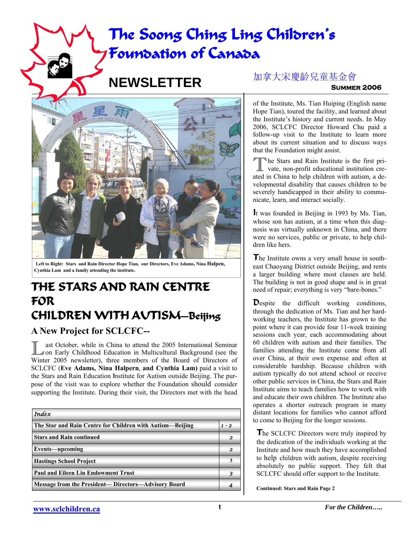# **The Soong Ching Ling Children's Foundation of Canada**

# **NEWSLETTER**



**Left to Right: Stars and Rain Director Hope Tian, our Directors, Eve Adams, Nina Halpen, Cynthia Lam and a family attending the institute.**

## **THE STARS AND RAIN CENTRE FOR CHILDREN WITH AUTISM—Beijing**

### **A New Project for SCLCFC--**

**Last October, while in China to attend the 2005 International Seminar on Early Childhood Education in Multicultural Background (see the** Winter 2005 newsletter), three members of the Board of Directors of SCLCFC (**Eve Adams, Nina Halpern**, **and Cynthia Lam)** paid a visit to the Stars and Rain Education Institute for Autism outside Beijing. The purpose of the visit was to explore whether the Foundation should consider supporting the Institute. During their visit, the Directors met with the head

| Index                                                       |         |
|-------------------------------------------------------------|---------|
| The Star and Rain Centre for Children with Autism—Beijing   | $1 - 2$ |
| <b>Stars and Rain continued</b>                             | 2       |
| <b>Events-upcoming</b>                                      | 2       |
| <b>Hastings School Project</b>                              |         |
| <b>Paul and Eileen Lin Endowment Trust</b>                  |         |
| <b>Message from the President— Directors—Advisory Board</b> |         |

### 加拿大宋慶齡兒童基金會

**Summer 2006** 

of the Institute, Ms. Tian Huiping (English name Hope Tian), toured the facility, and learned about the Institute's history and current needs. In May 2006, SCLCFC Director Howard Chu paid a follow-up visit to the Institute to learn more about its current situation and to discuss ways that the Foundation might assist.

The Stars and Rain Institute is the first private, non-profit educational institution created in China to help children with autism, a developmental disability that causes children to be severely handicapped in their ability to communicate, learn, and interact socially.

It was founded in Beijing in 1993 by Ms. Tian, whose son has autism, at a time when this diagnosis was virtually unknown in China, and there were no services, public or private, to help children like hers.

The Institute owns a very small house in southeast Chaoyang District outside Beijing, and rents a larger building where most classes are held. The building is not in good shape and is in great need of repair; everything is very "bare-bones."

Despite the difficult working conditions, through the dedication of Ms. Tian and her hardworking teachers, the Institute has grown to the point where it can provide four 11-week training sessions each year, each accommodating about 60 children with autism and their families. The families attending the Institute come from all over China, at their own expense and often at considerable hardship. Because children with autism typically do not attend school or receive other public services in China, the Stars and Rain Institute aims to teach families how to work with and educate their own children. The Institute also operates a shorter outreach program in many distant locations for families who cannot afford to come to Beijing for the longer sessions.

The SCLCFC Directors were truly inspired by the dedication of the individuals working at the Institute and how much they have accomplished to help children with autism, despite receiving absolutely no public support. They felt that SCLCFC should offer support to the Institute.

**Continued: Stars and Rain Page 2**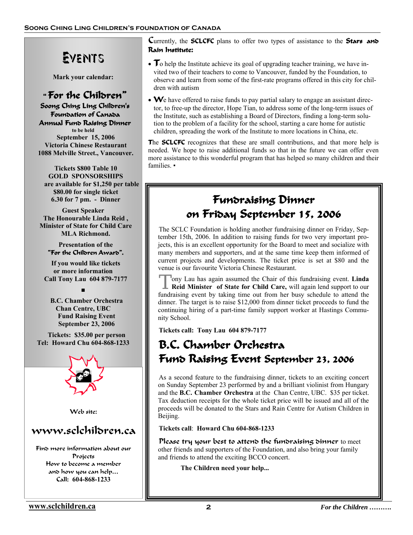# Events

**Mark your calendar:** 

 " **For the Children" Soong Ching Ling Children's Foundation of Canada Annual Fund Raising Dinner to be held September 15, 2006 Victoria Chinese Restaurant 1088 Melville Street., Vancouver.** 

 **Tickets \$800 Table 10 GOLD SPONSORSHIPS are available for \$1,250 per table \$80.00 for single ticket 6.30 for 7 pm. - Dinner** 

**Guest Speaker The Honourable Linda Reid , Minister of State for Child Care MLA Richmond.** 

 **Presentation of the "For the Children Award".** 

 **If you would like tickets or more information Call Tony Lau 604 879-7177**

**■**

 **B.C. Chamber Orchestra Chan Centre, UBC Fund Raising Event September 23, 2006** 

 **Tickets: \$35.00 per person Tel: Howard Chu 604-868-1233** 



Web site:

### www.sclchildren.ca

Find more information about our Projects How to become a member and how you can help… Call: **604-868-1233**

Currently, the **SCLCFC** plans to offer two types of assistance to the **Stars and Rain Institute:** 

- **T**o help the Institute achieve its goal of upgrading teacher training, we have invited two of their teachers to come to Vancouver, funded by the Foundation, to observe and learn from some of the first-rate programs offered in this city for children with autism
- We have offered to raise funds to pay partial salary to engage an assistant director, to free-up the director, Hope Tian, to address some of the long-term issues of the Institute, such as establishing a Board of Directors, finding a long-term solution to the problem of a facility for the school, starting a care home for autistic children, spreading the work of the Institute to more locations in China, etc.

**The <b>SCLCFC** recognizes that these are small contributions, and that more help is needed. We hope to raise additional funds so that in the future we can offer even more assistance to this wonderful program that has helped so many children and their families. •

## **Fundraising Dinner on Friday September 15, 2006**

The SCLC Foundation is holding another fundraising dinner on Friday, September 15th, 2006. In addition to raising funds for two very important projects, this is an excellent opportunity for the Board to meet and socialize with many members and supporters, and at the same time keep them informed of current projects and developments. The ticket price is set at \$80 and the venue is our favourite Victoria Chinese Restaurant.

T ony Lau has again assumed the Chair of this fundraising event. **Linda Reid Minister of State for Child Care,** will again lend support to our fundraising event by taking time out from her busy schedule to attend the dinner. The target is to raise \$12,000 from dinner ticket proceeds to fund the continuing hiring of a part-time family support worker at Hastings Community School.

**Tickets call: Tony Lau 604 879-7177** 

# **B.C. Chamber Orchestra Fund Raising Event September 23, 2006**

As a second feature to the fundraising dinner, tickets to an exciting concert on Sunday September 23 performed by and a brilliant violinist from Hungary and the **B.C. Chamber Orchestra** at the Chan Centre, UBC. \$35 per ticket. Tax deduction receipts for the whole ticket price will be issued and all of the proceeds will be donated to the Stars and Rain Centre for Autism Children in Beijing.

**Tickets call**: **Howard Chu 604-868-1233**

Please try your best to attend the fundraising dinner to meet other friends and supporters of the Foundation, and also bring your family and friends to attend the exciting BCCO concert.

 **The Children need your help...**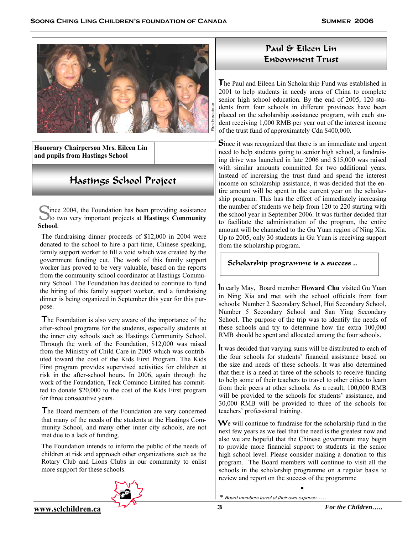

**Honorary Chairperson Mrs. Eileen Lin and pupils from Hastings School** 

### Hastings School Project

S ince 2004, the Foundation has been providing assistance to two very important projects at **Hastings Community School**.

The fundraising dinner proceeds of \$12,000 in 2004 were donated to the school to hire a part-time, Chinese speaking, family support worker to fill a void which was created by the government funding cut. The work of this family support worker has proved to be very valuable, based on the reports from the community school coordinator at Hastings Community School. The Foundation has decided to continue to fund the hiring of this family support worker, and a fundraising dinner is being organized in September this year for this purpose.

The Foundation is also very aware of the importance of the after-school programs for the students, especially students at the inner city schools such as Hastings Community School. Through the work of the Foundation, \$12,000 was raised from the Ministry of Child Care in 2005 which was contributed toward the cost of the Kids First Program. The Kids First program provides supervised activities for children at risk in the after-school hours. In 2006, again through the work of the Foundation, Teck Cominco Limited has committed to donate \$20,000 to the cost of the Kids First program for three consecutive years.

The Board members of the Foundation are very concerned that many of the needs of the students at the Hastings Community School, and many other inner city schools, are not met due to a lack of funding.

The Foundation intends to inform the public of the needs of children at risk and approach other organizations such as the Rotary Club and Lions Clubs in our community to enlist more support for these schools.

#### Paul & Eileen Lin Endowment Trust

The Paul and Eileen Lin Scholarship Fund was established in 2001 to help students in needy areas of China to complete senior high school education. By the end of 2005, 120 students from four schools in different provinces have been placed on the scholarship assistance program, with each student receiving 1,000 RMB per year out of the interest income of the trust fund of approximately Cdn \$400,000.

Since it was recognized that there is an immediate and urgent need to help students going to senior high school, a fundraising drive was launched in late 2006 and \$15,000 was raised with similar amounts committed for two additional years. Instead of increasing the trust fund and spend the interest income on scholarship assistance, it was decided that the entire amount will be spent in the current year on the scholarship program. This has the effect of immediately increasing the number of students we help from 120 to 220 starting with the school year in September 2006. It was further decided that to facilitate the administration of the program, the entire amount will be channeled to the Gu Yuan region of Ning Xia. Up to 2005, only 30 students in Gu Yuan is receiving support from the scholarship program.

Scholarship programme is a success ..

In early May, Board member **Howard Chu** visited Gu Yuan in Ning Xia and met with the school officials from four schools: Number 2 Secondary School, Hui Secondary School, Number 5 Secondary School and San Ying Secondary School. The purpose of the trip was to identify the needs of these schools and try to determine how the extra 100,000 RMB should be spent and allocated among the four schools.

It was decided that varying sums will be distributed to each of the four schools for students' financial assistance based on the size and needs of these schools. It was also determined that there is a need at three of the schools to receive funding to help some of their teachers to travel to other cities to learn from their peers at other schools. As a result, 100,000 RMB will be provided to the schools for students' assistance, and 30,000 RMB will be provided to three of the schools for teachers' professional training.

We will continue to fundraise for the scholarship fund in the next few years as we feel that the need is the greatest now and also we are hopeful that the Chinese government may begin to provide more financial support to students in the senior high school level. Please consider making a donation to this program. The Board members will continue to visit all the schools in the scholarship programme on a regular basis to review and report on the success of the programme

■

*\** Board members travel at their own expense…..

**3** *For the Children…..* **www.sclchildren.ca**